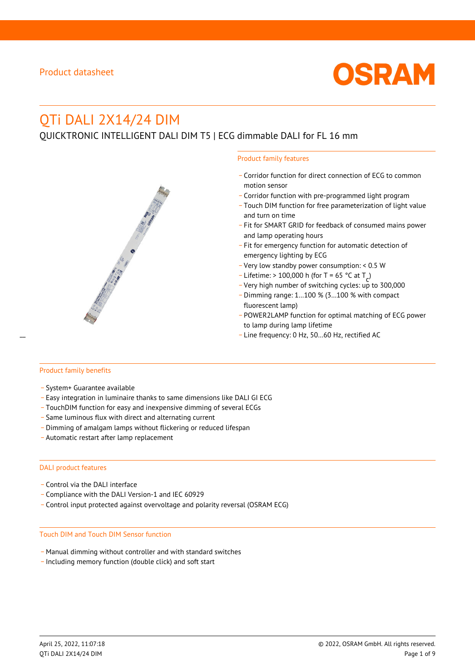

# QTi DALI 2X14/24 DIM

QUICKTRONIC INTELLIGENT DALI DIM T5 | ECG dimmable DALI for FL 16 mm



- \_ Corridor function for direct connection of ECG to common motion sensor
- \_ Corridor function with pre-programmed light program
- \_ Touch DIM function for free parameterization of light value and turn on time
- Fit for SMART GRID for feedback of consumed mains power and lamp operating hours
- \_ Fit for emergency function for automatic detection of emergency lighting by ECG
- \_ Very low standby power consumption: < 0.5 W
- $-$  Lifetime: > 100,000 h (for T = 65 °C at T
- Litedine. The 100,000 in (ion 1 05 ° C at  $1\frac{c^7}{c^7}$ <br>- Very high number of switching cycles: up to 300,000
- \_ Dimming range: 1…100 % (3…100 % with compact fluorescent lamp)
- POWER2LAMP function for optimal matching of ECG power to lamp during lamp lifetime
- Line frequency: 0 Hz, 50...60 Hz, rectified AC

#### Product family benefits

- \_ System+ Guarantee available
- \_ Easy integration in luminaire thanks to same dimensions like DALI GI ECG
- \_ TouchDIM function for easy and inexpensive dimming of several ECGs
- \_ Same luminous flux with direct and alternating current
- \_ Dimming of amalgam lamps without flickering or reduced lifespan
- \_ Automatic restart after lamp replacement

#### DALI product features

- Control via the DALI interface
- \_ Compliance with the DALI Version-1 and IEC 60929
- \_ Control input protected against overvoltage and polarity reversal (OSRAM ECG)

#### Touch DIM and Touch DIM Sensor function

- \_ Manual dimming without controller and with standard switches
- \_ Including memory function (double click) and soft start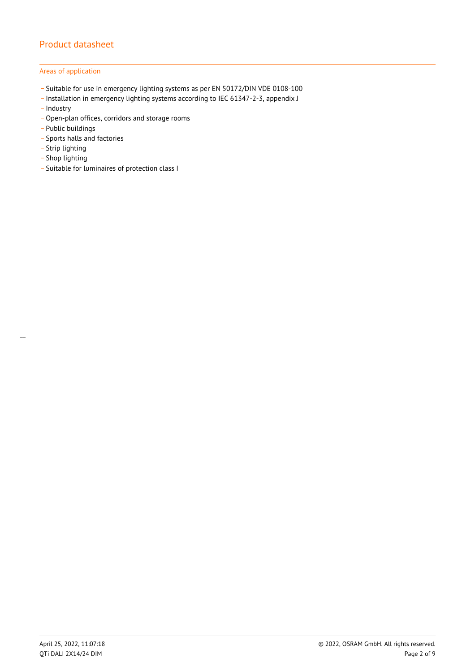### Areas of application

- \_ Suitable for use in emergency lighting systems as per EN 50172/DIN VDE 0108-100
- \_ Installation in emergency lighting systems according to IEC 61347-2-3, appendix J
- Industry
- \_ Open-plan offices, corridors and storage rooms
- \_ Public buildings
- \_ Sports halls and factories
- .<br>- Strip lighting
- \_ Shop lighting
- \_ Suitable for luminaires of protection class I

 $\overline{a}$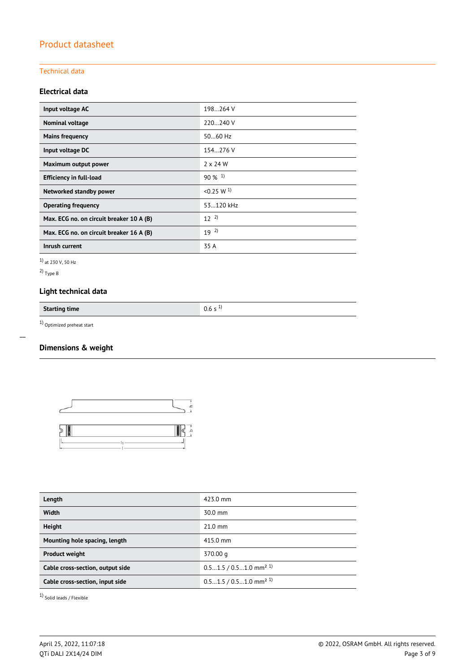### Technical data

### **Electrical data**

| Input voltage AC                         | 198264 V              |
|------------------------------------------|-----------------------|
| Nominal voltage                          | 220240 V              |
| <b>Mains frequency</b>                   | 5060 Hz               |
| Input voltage DC                         | 154.276 V             |
| Maximum output power                     | $2 \times 24$ W       |
| <b>Efficiency in full-load</b>           | $90\%$ <sup>1)</sup>  |
| Networked standby power                  | < 0.25 W <sup>1</sup> |
| <b>Operating frequency</b>               | 53.120 kHz            |
| Max. ECG no. on circuit breaker 10 A (B) | $12^{2}$              |
| Max. ECG no. on circuit breaker 16 A (B) | $19^{2}$              |
| Inrush current                           | 35 A                  |

1) at 230 V, 50 Hz

2) Type B

 $\overline{a}$ 

# **Light technical data**

**Starting time** 0.6 s <sup>1)</sup>

 $1)$  Optimized preheat start

# **Dimensions & weight**



| Length                           | 423.0 mm                             |
|----------------------------------|--------------------------------------|
| <b>Width</b>                     | $30.0$ mm                            |
| <b>Height</b>                    | $21.0$ mm                            |
| Mounting hole spacing, length    | 415.0 mm                             |
| <b>Product weight</b>            | 370.00 g                             |
| Cable cross-section, output side | $0.51.5 / 0.51.0$ mm <sup>2 1)</sup> |
| Cable cross-section, input side  | $0.51.5 / 0.51.0$ mm <sup>2 1)</sup> |

1) Solid leads / Flexible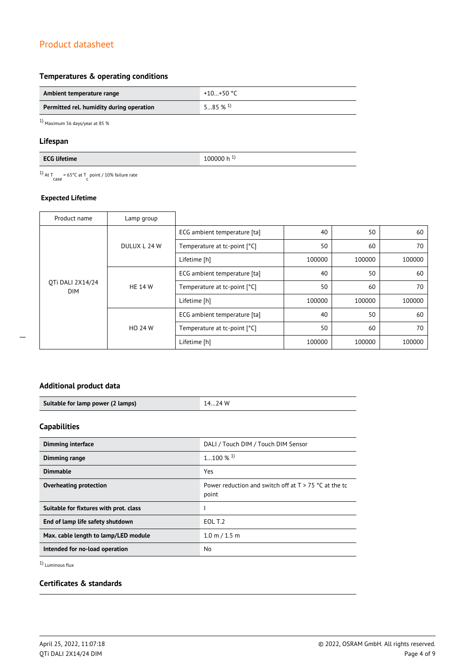### **Temperatures & operating conditions**

| Ambient temperature range                | +10+50 $^{\circ}$ C   |
|------------------------------------------|-----------------------|
| Permitted rel. humidity during operation | $585\%$ <sup>1)</sup> |

1) Maximum 56 days/year at 85 %

### **Lifespan**

<sup>1)</sup> At T<sub>case</sub> = 65°C at T<sub>c</sub> point / 10% failure rate

### **Expected Lifetime**

| Product name                   | Lamp group     |                              |        |        |        |
|--------------------------------|----------------|------------------------------|--------|--------|--------|
| OTi DALI 2X14/24<br><b>DIM</b> | DULUX L 24 W   | ECG ambient temperature [ta] | 40     | 50     | 60     |
|                                |                | Temperature at tc-point [°C] | 50     | 60     | 70     |
|                                |                | Lifetime [h]                 | 100000 | 100000 | 100000 |
|                                | <b>HE 14 W</b> | ECG ambient temperature [ta] | 40     | 50     | 60     |
|                                |                | Temperature at tc-point [°C] | 50     | 60     | 70     |
|                                |                | Lifetime [h]                 | 100000 | 100000 | 100000 |
|                                | <b>HO 24 W</b> | ECG ambient temperature [ta] | 40     | 50     | 60     |
|                                |                | Temperature at tc-point [°C] | 50     | 60     | 70     |
|                                |                | Lifetime [h]                 | 100000 | 100000 | 100000 |

### **Additional product data**

| Suitable for lamp power (2 lamps) | 24 W |
|-----------------------------------|------|

### **Capabilities**

| <b>Dimming interface</b>               | DALI / Touch DIM / Touch DIM Sensor                              |
|----------------------------------------|------------------------------------------------------------------|
| Dimming range                          | $1100\%$ <sup>1)</sup>                                           |
| <b>Dimmable</b>                        | Yes                                                              |
| Overheating protection                 | Power reduction and switch off at $T > 75$ °C at the tc<br>point |
| Suitable for fixtures with prot. class |                                                                  |
| End of lamp life safety shutdown       | EOL T.2                                                          |
| Max. cable length to lamp/LED module   | $1.0 \text{ m} / 1.5 \text{ m}$                                  |
| Intended for no-load operation         | No.                                                              |

1) Luminous flux

# **Certificates & standards**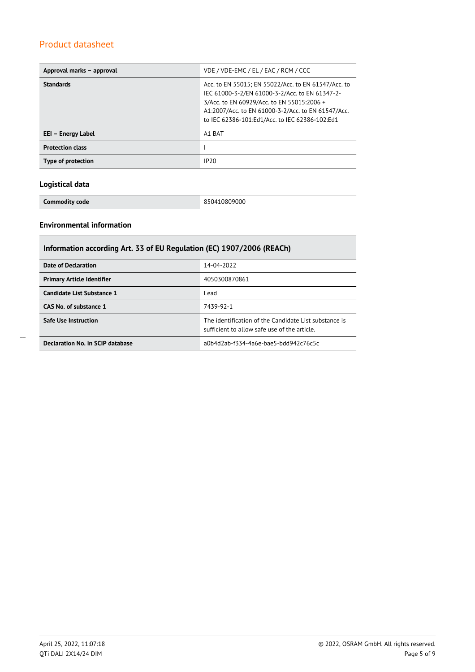| Approval marks - approval | VDE / VDE-EMC / EL / EAC / RCM / CCC                                                                                                                                                                                                                        |
|---------------------------|-------------------------------------------------------------------------------------------------------------------------------------------------------------------------------------------------------------------------------------------------------------|
| <b>Standards</b>          | Acc. to EN 55015; EN 55022/Acc. to EN 61547/Acc. to<br>IEC 61000-3-2/EN 61000-3-2/Acc. to EN 61347-2-<br>3/Acc. to EN 60929/Acc. to EN 55015:2006 +<br>A1:2007/Acc. to EN 61000-3-2/Acc. to EN 61547/Acc.<br>to IEC 62386-101:Ed1/Acc. to IEC 62386-102:Ed1 |
| EEI – Energy Label        | A1 BAT                                                                                                                                                                                                                                                      |
| <b>Protection class</b>   |                                                                                                                                                                                                                                                             |
| Type of protection        | IP20                                                                                                                                                                                                                                                        |

### **Logistical data**

**Commodity code** 850410809000

## **Environmental information**

| Information according Art. 33 of EU Regulation (EC) 1907/2006 (REACh) |                                                                                                      |  |  |
|-----------------------------------------------------------------------|------------------------------------------------------------------------------------------------------|--|--|
| Date of Declaration                                                   | 14-04-2022                                                                                           |  |  |
| <b>Primary Article Identifier</b>                                     | 4050300870861                                                                                        |  |  |
| Candidate List Substance 1                                            | Lead                                                                                                 |  |  |
| CAS No. of substance 1                                                | 7439-92-1                                                                                            |  |  |
| <b>Safe Use Instruction</b>                                           | The identification of the Candidate List substance is<br>sufficient to allow safe use of the article |  |  |
| Declaration No. in SCIP database                                      | a0b4d2ab-f334-4a6e-bae5-bdd942c76c5c                                                                 |  |  |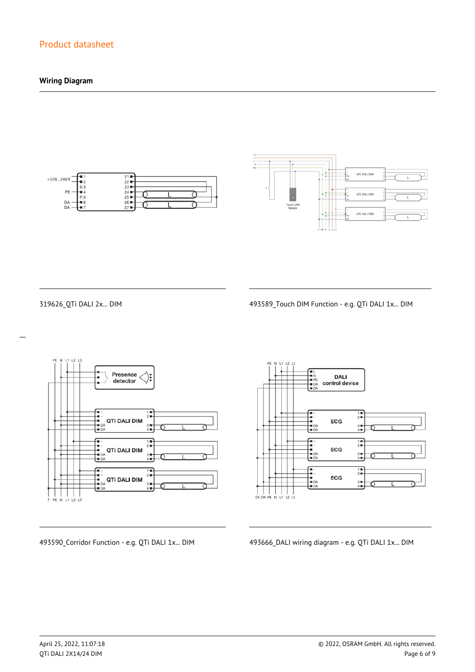### **Wiring Diagram**





 $\overline{a}$ 

319626\_QTi DALI 2x... DIM 493589\_Touch DIM Function - e.g. QTi DALI 1x... DIM



**DALI** control device  $\frac{1}{2}$ ECG  $\frac{3}{4}$  $\begin{array}{c}\n\overline{11} \\
\overline{21} \\
\overline{11}\n\end{array}$ -<br>- 1<br>- DA<br>- DA ECG  $3 +$ <br> $4 +$  $\frac{1}{2}$ --<br>--<br>-- DA<br>-- DA ECG  $3 +$ <br> $4 +$ 

493590\_Corridor Function - e.g. QTi DALI 1x... DIM 493666\_DALI wiring diagram - e.g. QTi DALI 1x... DIM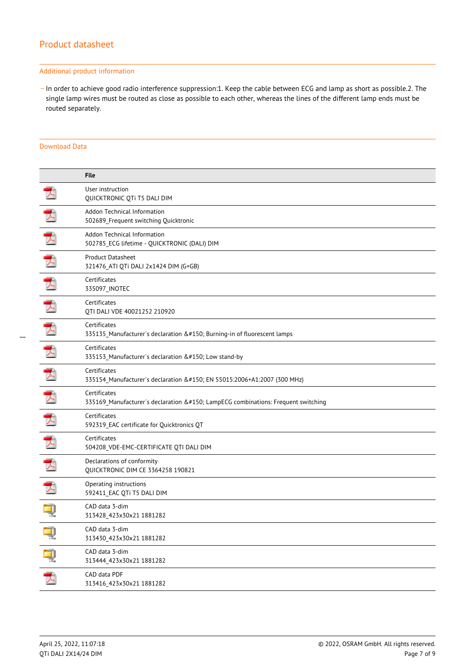#### Additional product information

\_ In order to achieve good radio interference suppression:1. Keep the cable between ECG and lamp as short as possible.2. The single lamp wires must be routed as close as possible to each other, whereas the lines of the different lamp ends must be routed separately.

### Download Data

|   | <b>File</b>                                                                                  |
|---|----------------------------------------------------------------------------------------------|
|   | User instruction<br>QUICKTRONIC QTi T5 DALI DIM                                              |
|   | Addon Technical Information<br>502689 Frequent switching Quicktronic                         |
| ᆺ | Addon Technical Information<br>502785_ECG lifetime - QUICKTRONIC (DALI) DIM                  |
|   | <b>Product Datasheet</b><br>321476_ATI QTi DALI 2x1424 DIM (G+GB)                            |
|   | Certificates<br>335097_INOTEC                                                                |
| ⊀ | Certificates<br>QTI DALI VDE 40021252 210920                                                 |
|   | Certificates<br>335135_Manufacturer's declaration – Burning-in of fluorescent lamps          |
| 入 | Certificates<br>335153_Manufacturer's declaration – Low stand-by                             |
| 天 | Certificates<br>335154_Manufacturer's declaration – EN 55015:2006+A1:2007 (300 MHz)          |
|   | Certificates<br>335169_Manufacturer's declaration – LampECG combinations: Frequent switching |
| 入 | Certificates<br>592319_EAC certificate for Quicktronics QT                                   |
|   | Certificates<br>504208_VDE-EMC-CERTIFICATE QTI DALI DIM                                      |
|   | Declarations of conformity<br>QUICKTRONIC DIM CE 3364258 190821                              |
|   | Operating instructions<br>592411_EAC QTi T5 DALI DIM                                         |
|   | CAD data 3-dim<br>313428_423x30x21 1881282                                                   |
|   | CAD data 3-dim<br>313430_423x30x21 1881282                                                   |
| ą | CAD data 3-dim<br>313444_423x30x21 1881282                                                   |
| プ | CAD data PDF<br>313416_423x30x21 1881282                                                     |
|   |                                                                                              |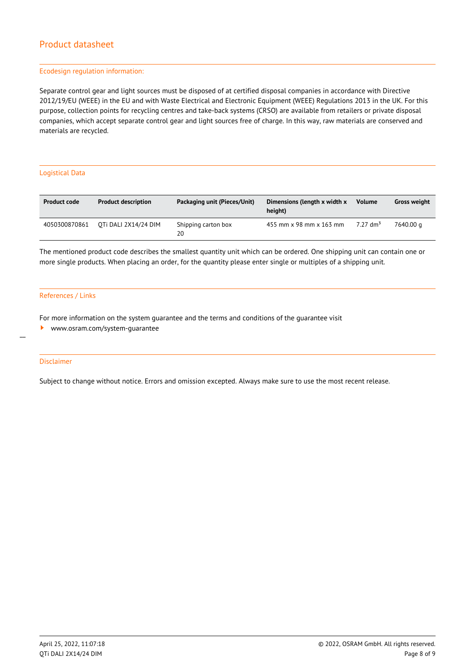#### Ecodesign regulation information:

Separate control gear and light sources must be disposed of at certified disposal companies in accordance with Directive 2012/19/EU (WEEE) in the EU and with Waste Electrical and Electronic Equipment (WEEE) Regulations 2013 in the UK. For this purpose, collection points for recycling centres and take-back systems (CRSO) are available from retailers or private disposal companies, which accept separate control gear and light sources free of charge. In this way, raw materials are conserved and materials are recycled.

#### Logistical Data

| <b>Product code</b> | <b>Product description</b> | Packaging unit (Pieces/Unit) | Dimensions (length x width x<br>height) | <b>Volume</b>        | <b>Gross weight</b> |
|---------------------|----------------------------|------------------------------|-----------------------------------------|----------------------|---------------------|
| 4050300870861       | OTI DALI 2X14/24 DIM       | Shipping carton box<br>20    | 455 mm x 98 mm x 163 mm                 | 7.27 dm <sup>3</sup> | 7640.00 a           |

The mentioned product code describes the smallest quantity unit which can be ordered. One shipping unit can contain one or more single products. When placing an order, for the quantity please enter single or multiples of a shipping unit.

#### References / Links

For more information on the system guarantee and the terms and conditions of the guarantee visit

<www.osram.com/system-guarantee>

#### Disclaimer

 $\overline{a}$ 

Subject to change without notice. Errors and omission excepted. Always make sure to use the most recent release.